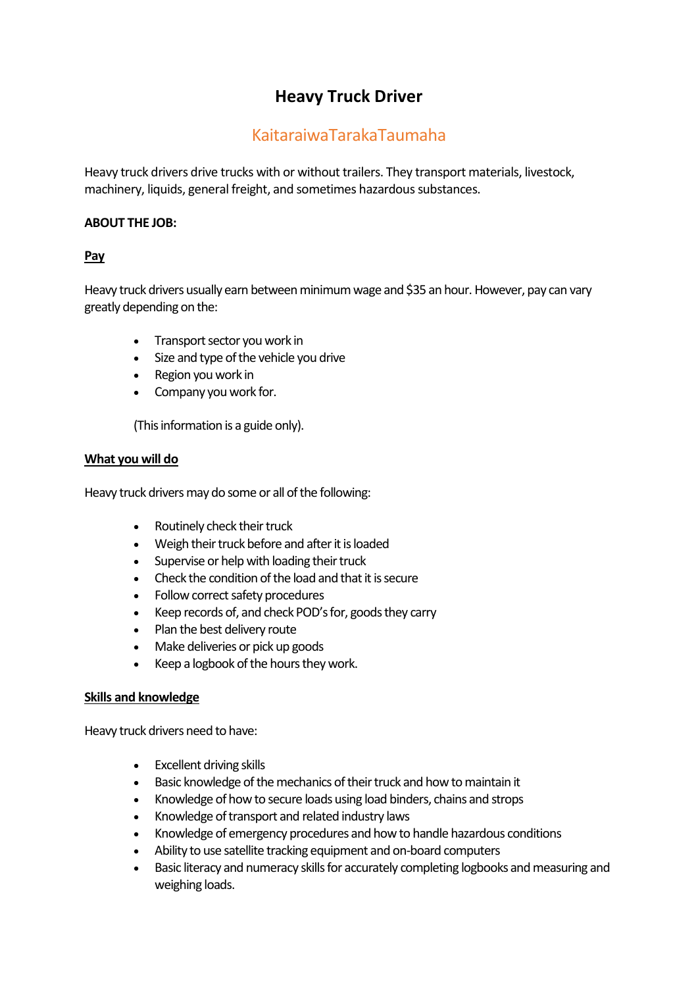# **Heavy Truck Driver**

# KaitaraiwaTarakaTaumaha

Heavy truck drivers drive trucks with or without trailers. They transport materials, livestock, machinery, liquids, general freight, and sometimes hazardous substances.

# **ABOUT THE JOB:**

# **Pay**

Heavy truck drivers usually earn between minimum wage and \$35 an hour. However, pay can vary greatly depending on the:

- Transport sector you work in
- Size and type of the vehicle you drive
- Region you work in
- Company you work for.

(This information is a guide only).

## **What you will do**

Heavy truck drivers may do some or all of the following:

- Routinely check their truck
- Weigh their truck before and after it is loaded
- Supervise or help with loading their truck
- Check the condition of the load and that it is secure
- Follow correct safety procedures
- Keep records of, and check POD's for, goods they carry
- Plan the best delivery route
- Make deliveries or pick up goods
- Keep a logbook of the hours they work.

## **Skills and knowledge**

Heavy truck drivers need to have:

- Excellent driving skills
- Basic knowledge of the mechanics of their truck and how to maintain it
- Knowledge of how to secure loads using load binders, chains and strops
- Knowledge of transport and related industry laws
- Knowledge of emergency procedures and how to handle hazardous conditions
- Ability to use satellite tracking equipment and on-board computers
- Basic literacy and numeracy skills for accurately completing logbooks and measuring and weighing loads.